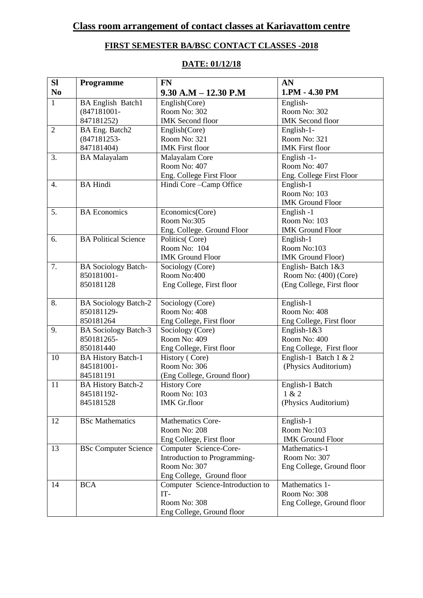# **FIRST SEMESTER BA/BSC CONTACT CLASSES -2018**

| <b>Sl</b>        | <b>Programme</b>            | <b>FN</b>                           | AN                        |
|------------------|-----------------------------|-------------------------------------|---------------------------|
| N <sub>0</sub>   |                             | $9.30$ A.M $- 12.30$ P.M            | 1.PM - 4.30 PM            |
| $\mathbf{1}$     | <b>BA English Batch1</b>    | English(Core)                       | English-                  |
|                  | $(847181001 -$              | Room No: 302                        | Room No: 302              |
|                  | 847181252)                  | <b>IMK</b> Second floor             | <b>IMK</b> Second floor   |
| $\overline{2}$   | BA Eng. Batch2              | English(Core)                       | English-1-                |
|                  | (847181253-                 | Room No: 321                        | Room No: 321              |
|                  | 847181404)                  | <b>IMK</b> First floor              | <b>IMK</b> First floor    |
| 3.               | <b>BA</b> Malayalam         | Malayalam Core                      | English -1-               |
|                  |                             | Room No: 407                        | Room No: 407              |
|                  |                             | Eng. College First Floor            | Eng. College First Floor  |
| $\overline{4}$ . | <b>BA Hindi</b>             | Hindi Core - Camp Office            | English-1                 |
|                  |                             |                                     | Room No: 103              |
|                  |                             |                                     | <b>IMK Ground Floor</b>   |
| 5.               | <b>BA</b> Economics         | Economics(Core)                     | English -1                |
|                  |                             | Room No:305                         | Room No: 103              |
|                  |                             | Eng. College. Ground Floor          | <b>IMK Ground Floor</b>   |
| 6.               | <b>BA Political Science</b> | Politics(Core)                      | English-1                 |
|                  |                             | Room No: 104                        | Room No:103               |
|                  |                             | <b>IMK Ground Floor</b>             | <b>IMK</b> Ground Floor)  |
| 7.               | <b>BA Sociology Batch-</b>  | Sociology (Core)                    | English-Batch 1&3         |
|                  | 850181001-                  | Room No:400                         | Room No: (400) (Core)     |
|                  | 850181128                   | Eng College, First floor            | (Eng College, First floor |
|                  |                             |                                     |                           |
| 8.               | <b>BA Sociology Batch-2</b> | Sociology (Core)                    | English-1                 |
|                  | 850181129-                  | Room No: 408                        | Room No: 408              |
|                  | 850181264                   | Eng College, First floor            | Eng College, First floor  |
| 9.               | <b>BA Sociology Batch-3</b> | Sociology (Core)                    | English- $1&83$           |
|                  | 850181265-                  | Room No: 409                        | Room No: 400              |
|                  | 850181440                   | Eng College, First floor            | Eng College, First floor  |
| 10               | <b>BA History Batch-1</b>   | History (Core)                      | English-1 Batch $1 \& 2$  |
|                  | 845181001-                  | Room No: 306                        | (Physics Auditorium)      |
|                  | 845181191                   | (Eng College, Ground floor)         |                           |
| 11               | <b>BA History Batch-2</b>   | <b>History Core</b>                 | English-1 Batch           |
|                  | 845181192-                  | Room No: 103<br><b>IMK</b> Gr.floor | 1 & 2                     |
|                  | 845181528                   |                                     | (Physics Auditorium)      |
| 12               | <b>BSc Mathematics</b>      | <b>Mathematics Core-</b>            | English-1                 |
|                  |                             | Room No: 208                        | Room No:103               |
|                  |                             | Eng College, First floor            | <b>IMK Ground Floor</b>   |
| 13               | <b>BSc Computer Science</b> | Computer Science-Core-              | Mathematics-1             |
|                  |                             | Introduction to Programming-        | Room No: 307              |
|                  |                             | Room No: 307                        | Eng College, Ground floor |
|                  |                             | Eng College, Ground floor           |                           |
| 14               | <b>BCA</b>                  | Computer Science-Introduction to    | Mathematics 1-            |
|                  |                             | $IT-$                               | Room No: 308              |
|                  |                             | Room No: 308                        | Eng College, Ground floor |
|                  |                             | Eng College, Ground floor           |                           |

## **DATE: 01/12/18**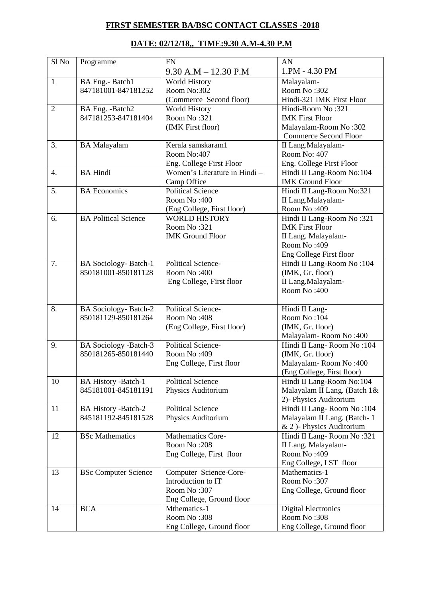## **FIRST SEMESTER BA/BSC CONTACT CLASSES -2018**

## **DATE: 02/12/18,, TIME:9.30 A.M-4.30 P.M**

| Sl No            | Programme                    | <b>FN</b>                     | AN                           |
|------------------|------------------------------|-------------------------------|------------------------------|
|                  |                              | $9.30$ A.M $- 12.30$ P.M      | 1.PM - 4.30 PM               |
| $\mathbf{1}$     | BA Eng.- Batch1              | <b>World History</b>          | Malayalam-                   |
|                  | 847181001-847181252          | Room No:302                   | Room No:302                  |
|                  |                              | (Commerce Second floor)       | Hindi-321 IMK First Floor    |
| $\overline{2}$   | BA Eng. - Batch2             | <b>World History</b>          | Hindi-Room No:321            |
|                  | 847181253-847181404          | Room No:321                   | <b>IMK First Floor</b>       |
|                  |                              | (IMK First floor)             | Malayalam-Room No:302        |
|                  |                              |                               | <b>Commerce Second Floor</b> |
| 3.               | <b>BA</b> Malayalam          | Kerala samskaram1             | II Lang.Malayalam-           |
|                  |                              | Room No:407                   | Room No: 407                 |
|                  |                              | Eng. College First Floor      | Eng. College First Floor     |
| $\overline{4}$ . | <b>BA Hindi</b>              | Women's Literature in Hindi - | Hindi II Lang-Room No:104    |
|                  |                              | Camp Office                   | <b>IMK Ground Floor</b>      |
| 5.               | <b>BA</b> Economics          | <b>Political Science</b>      | Hindi II Lang-Room No:321    |
|                  |                              | Room No:400                   | II Lang.Malayalam-           |
|                  |                              | (Eng College, First floor)    | Room No: 409                 |
| 6.               | <b>BA Political Science</b>  | <b>WORLD HISTORY</b>          | Hindi II Lang-Room No:321    |
|                  |                              | Room No:321                   | <b>IMK First Floor</b>       |
|                  |                              | <b>IMK Ground Floor</b>       | II Lang. Malayalam-          |
|                  |                              |                               | Room No: 409                 |
|                  |                              |                               | Eng College First floor      |
| 7.               | <b>BA</b> Sociology-Batch-1  | Political Science-            | Hindi II Lang-Room No:104    |
|                  | 850181001-850181128          | Room No:400                   | (IMK, Gr. floor)             |
|                  |                              | Eng College, First floor      | II Lang.Malayalam-           |
|                  |                              |                               | Room No:400                  |
|                  |                              |                               |                              |
| 8.               | <b>BA Sociology-Batch-2</b>  | <b>Political Science-</b>     | Hindi II Lang-               |
|                  | 850181129-850181264          | Room No:408                   | Room No:104                  |
|                  |                              | (Eng College, First floor)    | (IMK, Gr. floor)             |
|                  |                              |                               | Malayalam-Room No:400        |
| 9.               | <b>BA Sociology -Batch-3</b> | <b>Political Science-</b>     | Hindi II Lang-Room No: 104   |
|                  | 850181265-850181440          | Room No: 409                  | (IMK, Gr. floor)             |
|                  |                              | Eng College, First floor      | Malayalam-Room No:400        |
|                  |                              |                               | (Eng College, First floor)   |
| 10               | <b>BA History -Batch-1</b>   | <b>Political Science</b>      | Hindi II Lang-Room No:104    |
|                  | 845181001-845181191          | Physics Auditorium            | Malayalam II Lang. (Batch 1& |
|                  |                              |                               | 2)- Physics Auditorium       |
| 11               | <b>BA History -Batch-2</b>   | <b>Political Science</b>      | Hindi II Lang-Room No: 104   |
|                  | 845181192-845181528          | Physics Auditorium            | Malayalam II Lang. (Batch-1  |
|                  |                              |                               | & 2) Physics Auditorium      |
| 12               | <b>BSc Mathematics</b>       | Mathematics Core-             | Hindi II Lang-Room No:321    |
|                  |                              | Room No:208                   | II Lang. Malayalam-          |
|                  |                              | Eng College, First floor      | Room No: 409                 |
|                  |                              |                               | Eng College, I ST floor      |
| 13               | <b>BSc Computer Science</b>  | Computer Science-Core-        | Mathematics-1                |
|                  |                              | Introduction to IT            | Room No:307                  |
|                  |                              | Room No:307                   | Eng College, Ground floor    |
|                  |                              | Eng College, Ground floor     |                              |
| 14               | <b>BCA</b>                   | Mthematics-1                  | <b>Digital Electronics</b>   |
|                  |                              | Room No:308                   | Room No:308                  |
|                  |                              | Eng College, Ground floor     | Eng College, Ground floor    |